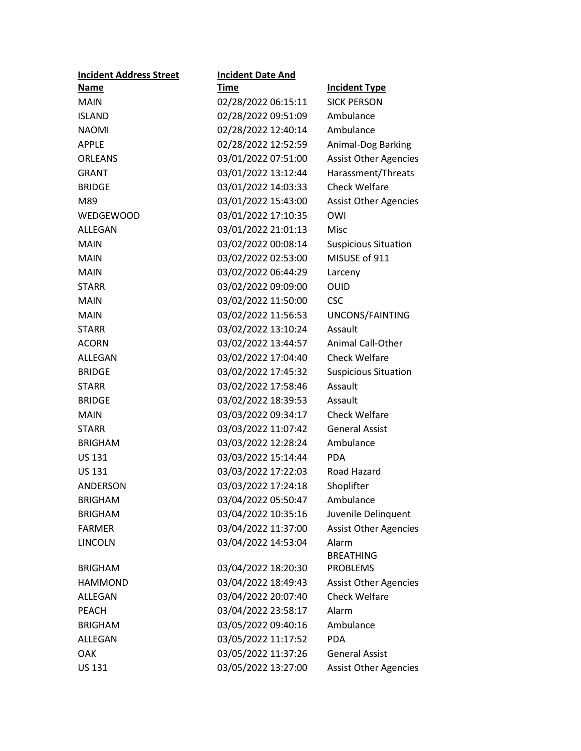| <b>Incident Address Street</b> | <b>Incident Date And</b> |                              |
|--------------------------------|--------------------------|------------------------------|
| <u>Name</u>                    | <u>Time</u>              | <b>Incident Type</b>         |
| <b>MAIN</b>                    | 02/28/2022 06:15:11      | <b>SICK PERSON</b>           |
| <b>ISLAND</b>                  | 02/28/2022 09:51:09      | Ambulance                    |
| <b>NAOMI</b>                   | 02/28/2022 12:40:14      | Ambulance                    |
| <b>APPLE</b>                   | 02/28/2022 12:52:59      | Animal-Dog Barking           |
| <b>ORLEANS</b>                 | 03/01/2022 07:51:00      | <b>Assist Other Agencies</b> |
| <b>GRANT</b>                   | 03/01/2022 13:12:44      | Harassment/Threats           |
| <b>BRIDGE</b>                  | 03/01/2022 14:03:33      | <b>Check Welfare</b>         |
| M89                            | 03/01/2022 15:43:00      | <b>Assist Other Agencies</b> |
| WEDGEWOOD                      | 03/01/2022 17:10:35      | OWI                          |
| ALLEGAN                        | 03/01/2022 21:01:13      | Misc                         |
| <b>MAIN</b>                    | 03/02/2022 00:08:14      | <b>Suspicious Situation</b>  |
| <b>MAIN</b>                    | 03/02/2022 02:53:00      | MISUSE of 911                |
| <b>MAIN</b>                    | 03/02/2022 06:44:29      | Larceny                      |
| <b>STARR</b>                   | 03/02/2022 09:09:00      | <b>OUID</b>                  |
| <b>MAIN</b>                    | 03/02/2022 11:50:00      | <b>CSC</b>                   |
| <b>MAIN</b>                    | 03/02/2022 11:56:53      | UNCONS/FAINTING              |
| <b>STARR</b>                   | 03/02/2022 13:10:24      | Assault                      |
| <b>ACORN</b>                   | 03/02/2022 13:44:57      | Animal Call-Other            |
| ALLEGAN                        | 03/02/2022 17:04:40      | <b>Check Welfare</b>         |
| <b>BRIDGE</b>                  | 03/02/2022 17:45:32      | <b>Suspicious Situation</b>  |
| <b>STARR</b>                   | 03/02/2022 17:58:46      | Assault                      |
| <b>BRIDGE</b>                  | 03/02/2022 18:39:53      | Assault                      |
| <b>MAIN</b>                    | 03/03/2022 09:34:17      | <b>Check Welfare</b>         |
| <b>STARR</b>                   | 03/03/2022 11:07:42      | <b>General Assist</b>        |
| <b>BRIGHAM</b>                 | 03/03/2022 12:28:24      | Ambulance                    |
| <b>US 131</b>                  | 03/03/2022 15:14:44      | <b>PDA</b>                   |
| <b>US 131</b>                  | 03/03/2022 17:22:03      | Road Hazard                  |
| <b>ANDERSON</b>                | 03/03/2022 17:24:18      | Shoplifter                   |
| <b>BRIGHAM</b>                 | 03/04/2022 05:50:47      | Ambulance                    |
| <b>BRIGHAM</b>                 | 03/04/2022 10:35:16      | Juvenile Delinquent          |
| <b>FARMER</b>                  | 03/04/2022 11:37:00      | <b>Assist Other Agencies</b> |
| <b>LINCOLN</b>                 | 03/04/2022 14:53:04      | Alarm                        |
|                                |                          | <b>BREATHING</b>             |
| <b>BRIGHAM</b>                 | 03/04/2022 18:20:30      | <b>PROBLEMS</b>              |
| <b>HAMMOND</b>                 | 03/04/2022 18:49:43      | <b>Assist Other Agencies</b> |
| ALLEGAN                        | 03/04/2022 20:07:40      | <b>Check Welfare</b>         |
| <b>PEACH</b>                   | 03/04/2022 23:58:17      | Alarm                        |
| <b>BRIGHAM</b>                 | 03/05/2022 09:40:16      | Ambulance                    |
| ALLEGAN                        | 03/05/2022 11:17:52      | <b>PDA</b>                   |
| <b>OAK</b>                     | 03/05/2022 11:37:26      | <b>General Assist</b>        |
| <b>US 131</b>                  | 03/05/2022 13:27:00      | <b>Assist Other Agencies</b> |